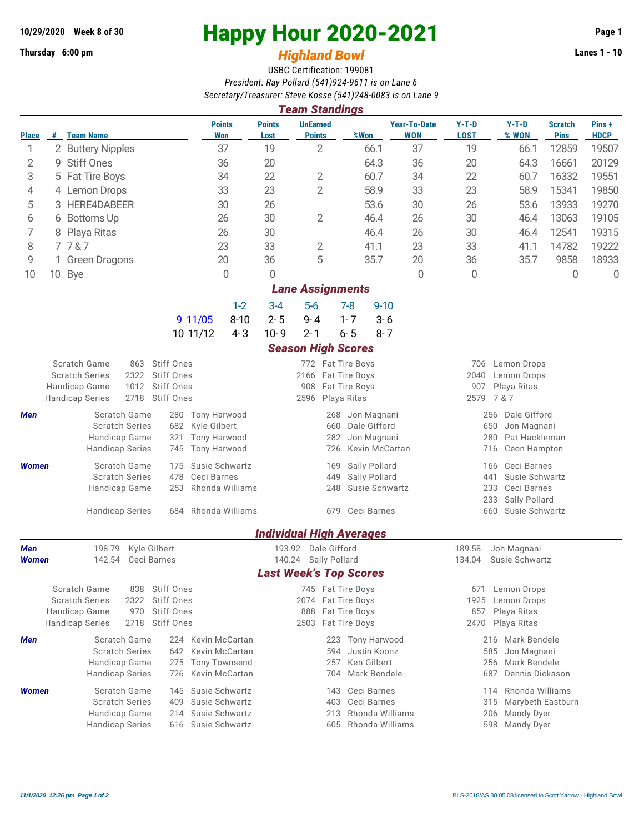## **Thursday 6:00 pm** *Highland Bowl*

## **10/29/2020** Week 8 of 30<br>
Thursday 6:00 pm<br> **Happy Hour 2020-2021** Page 1<br> **Highland Rowl**

## USBC Certification: 199081 *President: Ray Pollard (541)924-9611 is on Lane 6 Secretary/Treasurer: Steve Kosse (541)248-0083 is on Lane 9*

| <b>Team Standings</b>                            |                         |                                         |                                 |                                  |                                              |                                  |                                 |                                   |                                           |                                        |                               |                      |  |  |  |
|--------------------------------------------------|-------------------------|-----------------------------------------|---------------------------------|----------------------------------|----------------------------------------------|----------------------------------|---------------------------------|-----------------------------------|-------------------------------------------|----------------------------------------|-------------------------------|----------------------|--|--|--|
| <b>Place</b>                                     | #                       | <b>Team Name</b>                        |                                 | <b>Points</b><br><b>Won</b>      | <b>Points</b><br>Lost                        | <b>UnEarned</b><br><b>Points</b> | %Won                            | <b>Year-To-Date</b><br><b>WON</b> | $Y-T-D$<br><b>LOST</b>                    | $Y-T-D$<br>% WON                       | <b>Scratch</b><br><b>Pins</b> | Pins+<br><b>HDCP</b> |  |  |  |
| 1                                                |                         | 2 Buttery Nipples                       |                                 | 37                               | 19                                           | $\overline{2}$                   | 66.1                            | 37                                | 19                                        | 66.1                                   | 12859                         | 19507                |  |  |  |
| 2                                                | 9                       | <b>Stiff Ones</b>                       |                                 |                                  | 20                                           |                                  | 64.3                            | 36                                | 20                                        | 64.3                                   | 16661                         | 20129                |  |  |  |
| 3                                                |                         | 5 Fat Tire Boys                         |                                 |                                  | 22                                           | 2                                | 60.7                            | 34                                | 22                                        | 60.7                                   | 16332                         | 19551                |  |  |  |
| 4                                                |                         | 4 Lemon Drops                           |                                 | 33                               | 23                                           | $\overline{2}$                   | 58.9                            | 33                                | 23                                        | 58.9                                   | 15341                         | 19850                |  |  |  |
| 5                                                | 3                       | HERE4DABEER                             |                                 | 30                               | 26                                           |                                  | 53.6                            | 30                                | 26                                        | 53.6                                   | 13933                         | 19270                |  |  |  |
| 6                                                | 6                       | Bottoms Up                              |                                 | 26                               | 30                                           | 2                                | 46.4                            | 26                                | 30<br>46.4                                |                                        | 13063                         | 19105                |  |  |  |
| 7                                                | 8                       | Playa Ritas                             |                                 | 26                               | 30                                           |                                  | 46.4                            | 26                                | 30                                        | 46.4                                   | 12541                         | 19315                |  |  |  |
| 8                                                | 7787                    |                                         |                                 | 23                               | 33                                           | 2                                | 41.1                            | 23                                | 33                                        | 41.1                                   | 14782                         | 19222                |  |  |  |
| 9                                                |                         | <b>Green Dragons</b>                    |                                 | 20                               | 36                                           | 5                                | 35.7                            | 20                                | 36                                        | 35.7                                   | 9858                          | 18933                |  |  |  |
| 10                                               | 10 Bye                  |                                         |                                 | 0                                | 0                                            |                                  |                                 | 0                                 | 0                                         |                                        | 0                             | 0                    |  |  |  |
|                                                  | <b>Lane Assignments</b> |                                         |                                 |                                  |                                              |                                  |                                 |                                   |                                           |                                        |                               |                      |  |  |  |
| $1 - 2$<br>$3 - 4$<br>$5-6$<br>$7-8$<br>$9 - 10$ |                         |                                         |                                 |                                  |                                              |                                  |                                 |                                   |                                           |                                        |                               |                      |  |  |  |
|                                                  |                         |                                         | 9 11/05                         | $8 - 10$                         | $2 - 5$                                      | $9 - 4$                          | $1 - 7$<br>$3 - 6$              |                                   |                                           |                                        |                               |                      |  |  |  |
|                                                  |                         |                                         | 10 11/12                        | $4 - 3$                          | $10 - 9$                                     | $2 - 1$                          | $6 - 5$<br>$8 - 7$              |                                   |                                           |                                        |                               |                      |  |  |  |
| <b>Season High Scores</b>                        |                         |                                         |                                 |                                  |                                              |                                  |                                 |                                   |                                           |                                        |                               |                      |  |  |  |
|                                                  | Scratch Game            | 863                                     | <b>Stiff Ones</b>               |                                  |                                              | 772 Fat Tire Boys                |                                 |                                   | Lemon Drops<br>706                        |                                        |                               |                      |  |  |  |
| <b>Scratch Series</b><br>2322<br>Stiff Ones      |                         |                                         |                                 |                                  | 2166 Fat Tire Boys                           |                                  |                                 | 2040<br>Lemon Drops               |                                           |                                        |                               |                      |  |  |  |
| 1012<br>Handicap Game                            |                         |                                         | Stiff Ones<br><b>Stiff Ones</b> |                                  |                                              | 908<br>2596                      | Fat Tire Boys<br>Playa Ritas    |                                   | 907<br>Playa Ritas<br>7 & 7<br>2579       |                                        |                               |                      |  |  |  |
| 2718<br><b>Handicap Series</b>                   |                         |                                         |                                 |                                  |                                              |                                  |                                 |                                   |                                           |                                        |                               |                      |  |  |  |
| Men                                              |                         | Scratch Game<br><b>Scratch Series</b>   | 682                             | 280 Tony Harwood<br>Kyle Gilbert |                                              | 268<br>660                       | Jon Magnani<br>Dale Gifford     |                                   | Dale Gifford<br>256<br>650<br>Jon Magnani |                                        |                               |                      |  |  |  |
| Handicap Game<br>321                             |                         |                                         |                                 | <b>Tony Harwood</b>              |                                              | 282                              | Jon Magnani                     |                                   | Pat Hackleman<br>280                      |                                        |                               |                      |  |  |  |
|                                                  |                         | <b>Handicap Series</b>                  | 745                             | <b>Tony Harwood</b>              |                                              | 726                              | Kevin McCartan                  |                                   |                                           | Ceon Hampton<br>716                    |                               |                      |  |  |  |
| <b>Women</b>                                     |                         | Scratch Game                            | 175                             | Susie Schwartz                   |                                              | 169                              | Sally Pollard                   |                                   | Ceci Barnes<br>166                        |                                        |                               |                      |  |  |  |
|                                                  |                         | <b>Scratch Series</b>                   | 478                             | Ceci Barnes                      |                                              | 449                              | Sally Pollard                   |                                   | 441<br>Susie Schwartz                     |                                        |                               |                      |  |  |  |
|                                                  |                         | Handicap Game                           | 253                             | Rhonda Williams                  |                                              | Susie Schwartz<br>248            |                                 |                                   |                                           | 233<br>Ceci Barnes<br>233              |                               |                      |  |  |  |
| <b>Handicap Series</b>                           |                         |                                         | 684                             | Rhonda Williams                  |                                              |                                  | 679 Ceci Barnes                 |                                   |                                           | Sally Pollard<br>Susie Schwartz<br>660 |                               |                      |  |  |  |
|                                                  |                         |                                         |                                 |                                  |                                              |                                  |                                 |                                   |                                           |                                        |                               |                      |  |  |  |
|                                                  |                         |                                         |                                 |                                  |                                              |                                  | <b>Individual High Averages</b> |                                   |                                           |                                        |                               |                      |  |  |  |
| Men<br>198.79<br>Kyle Gilbert                    |                         |                                         |                                 |                                  | 193.92                                       | Dale Gifford                     |                                 |                                   | 189.58<br>Jon Magnani                     |                                        |                               |                      |  |  |  |
| 142.54<br>Ceci Barnes<br>Women                   |                         |                                         | 140.24 Sally Pollard            |                                  |                                              |                                  | 134.04<br>Susie Schwartz        |                                   |                                           |                                        |                               |                      |  |  |  |
|                                                  |                         |                                         |                                 |                                  |                                              | <b>Last Week's Top Scores</b>    |                                 |                                   |                                           |                                        |                               |                      |  |  |  |
|                                                  |                         | Scratch Game<br>838                     | Stiff Ones<br>Stiff Ones        |                                  |                                              | 745 Fat Tire Boys                |                                 |                                   | 671                                       | Lemon Drops                            |                               |                      |  |  |  |
| <b>Scratch Series</b><br>Handicap Game           |                         | 2322<br>970                             | Stiff Ones                      |                                  |                                              | 2074<br>888                      | Fat Tire Boys<br>Fat Tire Boys  |                                   | 1925<br>857                               | Lemon Drops<br>Playa Ritas             |                               |                      |  |  |  |
| <b>Handicap Series</b>                           |                         | 2718                                    | <b>Stiff Ones</b>               |                                  | Fat Tire Boys<br>2503                        |                                  |                                 |                                   | 2470<br>Playa Ritas                       |                                        |                               |                      |  |  |  |
| Men                                              |                         | Scratch Game<br>Kevin McCartan<br>224   |                                 |                                  |                                              | 223                              | Tony Harwood                    |                                   | Mark Bendele<br>216                       |                                        |                               |                      |  |  |  |
|                                                  |                         | <b>Scratch Series</b>                   | Kevin McCartan                  |                                  | 594                                          | Justin Koonz                     |                                 | 585<br>Jon Magnani                |                                           |                                        |                               |                      |  |  |  |
|                                                  |                         | Handicap Game                           | 275                             | <b>Tony Townsend</b>             | Ken Gilbert<br>257                           |                                  |                                 |                                   | Mark Bendele<br>256                       |                                        |                               |                      |  |  |  |
|                                                  |                         | <b>Handicap Series</b>                  | Kevin McCartan<br>726           |                                  |                                              | 704                              | Mark Bendele                    |                                   | Dennis Dickason<br>687                    |                                        |                               |                      |  |  |  |
| <b>Women</b>                                     |                         | Scratch Game                            | 145                             | Susie Schwartz                   |                                              | Ceci Barnes<br>143<br>114        |                                 |                                   |                                           |                                        |                               | Rhonda Williams      |  |  |  |
|                                                  |                         | <b>Scratch Series</b>                   | 409                             | Susie Schwartz                   | 403<br>Ceci Barnes<br>315<br>Rhonda Williams |                                  |                                 |                                   |                                           |                                        | Marybeth Eastburn             |                      |  |  |  |
|                                                  |                         | Handicap Game<br><b>Handicap Series</b> | 214<br>616                      | Susie Schwartz<br>Susie Schwartz |                                              | 213<br>605                       | Rhonda Williams                 |                                   |                                           | Mandy Dyer<br>206<br>Mandy Dyer        |                               |                      |  |  |  |
|                                                  |                         |                                         |                                 |                                  |                                              |                                  |                                 |                                   | 598                                       |                                        |                               |                      |  |  |  |